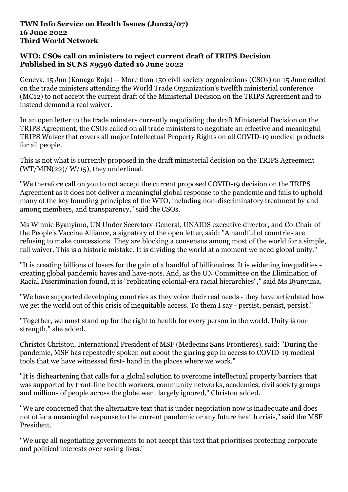## **TWN Info Service on Health Issues (Jun22/07) 16 June 2022 Third World Network**

## **WTO: CSOs call on ministers to reject current draft of TRIPS Decision Published in SUNS #9596 dated 16 June 2022**

Geneva, 15 Jun (Kanaga Raja) -- More than 150 civil society organizations (CSOs) on 15 June called on the trade ministers attending the World Trade Organization's twelfth ministerial conference (MC12) to not accept the current draft of the Ministerial Decision on the TRIPS Agreement and to instead demand a real waiver.

In an open letter to the trade minsters currently negotiating the draft Ministerial Decision on the TRIPS Agreement, the CSOs called on all trade ministers to negotiate an effective and meaningful TRIPS Waiver that covers all major Intellectual Property Rights on all COVID-19 medical products for all people.

This is not what is currently proposed in the draft ministerial decision on the TRIPS Agreement  $(WT/MIN(22)/W/15)$ , they underlined.

"We therefore call on you to not accept the current proposed COVID-19 decision on the TRIPS Agreement as it does not deliver a meaningful global response to the pandemic and fails to uphold many of the key founding principles of the WTO, including non-discriminatory treatment by and among members, and transparency," said the CSOs.

Ms Winnie Byanyima, UN Under Secretary-General, UNAIDS executive director, and Co-Chair of the People's Vaccine Alliance, a signatory of the open letter, said: "A handful of countries are refusing to make concessions. They are blocking a consensus among most of the world for a simple, full waiver. This is a historic mistake. It is dividing the world at a moment we need global unity."

"It is creating billions of losers for the gain of a handful of billionaires. It is widening inequalities creating global pandemic haves and have-nots. And, as the UN Committee on the Elimination of Racial Discrimination found, it is "replicating colonial-era racial hierarchies"," said Ms Byanyima.

"We have supported developing countries as they voice their real needs - they have articulated how we get the world out of this crisis of inequitable access. To them I say - persist, persist, persist."

"Together, we must stand up for the right to health for every person in the world. Unity is our strength," she added.

Christos Christou, International President of MSF (Medecins Sans Frontieres), said: "During the pandemic, MSF has repeatedly spoken out about the glaring gap in access to COVID-19 medical tools that we have witnessed first- hand in the places where we work."

"It is disheartening that calls for a global solution to overcome intellectual property barriers that was supported by front-line health workers, community networks, academics, civil society groups and millions of people across the globe went largely ignored," Christou added.

"We are concerned that the alternative text that is under negotiation now is inadequate and does not offer a meaningful response to the current pandemic or any future health crisis," said the MSF President.

"We urge all negotiating governments to not accept this text that prioritises protecting corporate and political interests over saving lives."